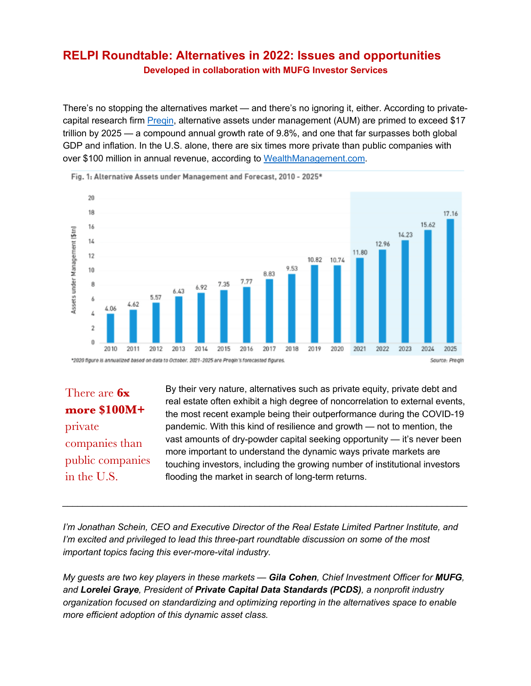## **RELPI Roundtable: Alternatives in 2022: Issues and opportunities Developed in collaboration with MUFG Investor Services**

There's no stopping the alternatives market — and there's no ignoring it, either. According to privatecapital research firm Preqin, alternative assets under management (AUM) are primed to exceed \$17 trillion by 2025 — a compound annual growth rate of 9.8%, and one that far surpasses both global GDP and inflation. In the U.S. alone, there are six times more private than public companies with over \$100 million in annual revenue, according to WealthManagement.com.



Fig. 1: Alternative Assets under Management and Forecast. 2010 - 2025\*

There are **6x more \$100M+** private companies than public companies in the U.S.

By their very nature, alternatives such as private equity, private debt and real estate often exhibit a high degree of noncorrelation to external events, the most recent example being their outperformance during the COVID-19 pandemic. With this kind of resilience and growth — not to mention, the vast amounts of dry-powder capital seeking opportunity — it's never been more important to understand the dynamic ways private markets are touching investors, including the growing number of institutional investors flooding the market in search of long-term returns.

*I'm Jonathan Schein, CEO and Executive Director of the Real Estate Limited Partner Institute, and I'm excited and privileged to lead this three-part roundtable discussion on some of the most important topics facing this ever-more-vital industry.*

*My guests are two key players in these markets — Gila Cohen, Chief Investment Officer for MUFG, and Lorelei Graye, President of Private Capital Data Standards (PCDS), a nonprofit industry organization focused on standardizing and optimizing reporting in the alternatives space to enable more efficient adoption of this dynamic asset class.*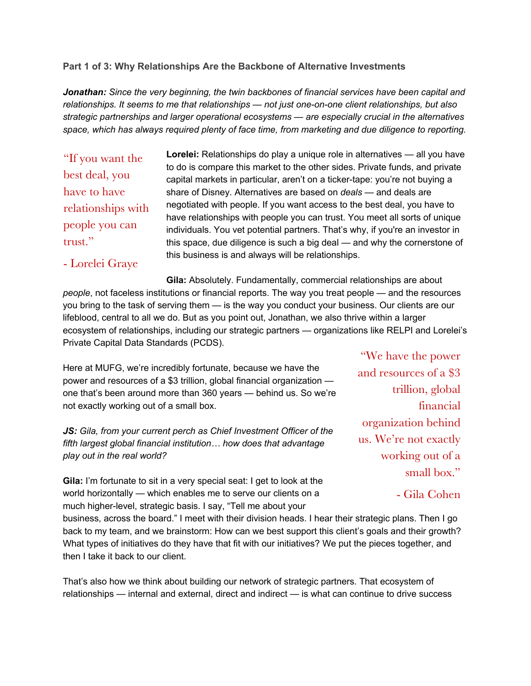## **Part 1 of 3: Why Relationships Are the Backbone of Alternative Investments**

*Jonathan: Since the very beginning, the twin backbones of financial services have been capital and relationships. It seems to me that relationships — not just one-on-one client relationships, but also strategic partnerships and larger operational ecosystems — are especially crucial in the alternatives space, which has always required plenty of face time, from marketing and due diligence to reporting.*

"If you want the best deal, you have to have relationships with people you can trust."

**Lorelei:** Relationships do play a unique role in alternatives — all you have to do is compare this market to the other sides. Private funds, and private capital markets in particular, aren't on a ticker-tape: you're not buying a share of Disney. Alternatives are based on *deals* — and deals are negotiated with people. If you want access to the best deal, you have to have relationships with people you can trust. You meet all sorts of unique individuals. You vet potential partners. That's why, if you're an investor in this space, due diligence is such a big deal — and why the cornerstone of this business is and always will be relationships.

## - Lorelei Graye

**Gila:** Absolutely. Fundamentally, commercial relationships are about *people*, not faceless institutions or financial reports. The way you treat people — and the resources you bring to the task of serving them — is the way you conduct your business. Our clients are our lifeblood, central to all we do. But as you point out, Jonathan, we also thrive within a larger ecosystem of relationships, including our strategic partners — organizations like RELPI and Lorelei's Private Capital Data Standards (PCDS).

Here at MUFG, we're incredibly fortunate, because we have the power and resources of a \$3 trillion, global financial organization one that's been around more than 360 years — behind us. So we're not exactly working out of a small box.

*JS: Gila, from your current perch as Chief Investment Officer of the fifth largest global financial institution… how does that advantage play out in the real world?*

**Gila:** I'm fortunate to sit in a very special seat: I get to look at the world horizontally — which enables me to serve our clients on a much higher-level, strategic basis. I say, "Tell me about your

business, across the board." I meet with their division heads. I hear their strategic plans. Then I go back to my team, and we brainstorm: How can we best support this client's goals and their growth? What types of initiatives do they have that fit with our initiatives? We put the pieces together, and then I take it back to our client.

That's also how we think about building our network of strategic partners. That ecosystem of relationships — internal and external, direct and indirect — is what can continue to drive success

"We have the power and resources of a \$3 trillion, global financial organization behind us. We're not exactly working out of a small box."

- Gila Cohen